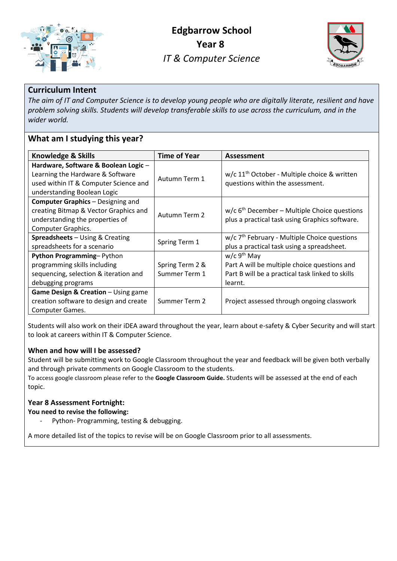

## **Edgbarrow School Year 8**  *IT & Computer Science*



#### **Curriculum Intent**

*The aim of IT and Computer Science is to develop young people who are digitally literate, resilient and have problem solving skills. Students will develop transferable skills to use across the curriculum, and in the wider world.*

### **What am I studying this year?**

| <b>Knowledge &amp; Skills</b>                                                                                                                    | <b>Time of Year</b>              | Assessment                                                                                                                    |
|--------------------------------------------------------------------------------------------------------------------------------------------------|----------------------------------|-------------------------------------------------------------------------------------------------------------------------------|
| Hardware, Software & Boolean Logic -<br>Learning the Hardware & Software<br>used within IT & Computer Science and<br>understanding Boolean Logic | Autumn Term 1                    | w/c 11 <sup>th</sup> October - Multiple choice & written<br>questions within the assessment.                                  |
| <b>Computer Graphics - Designing and</b><br>creating Bitmap & Vector Graphics and<br>understanding the properties of<br>Computer Graphics.       | Autumn Term 2                    | $w/c$ 6 <sup>th</sup> December – Multiple Choice questions<br>plus a practical task using Graphics software.                  |
| <b>Spreadsheets</b> - Using & Creating<br>spreadsheets for a scenario                                                                            | Spring Term 1                    | $w/c$ 7 <sup>th</sup> February - Multiple Choice questions<br>plus a practical task using a spreadsheet.                      |
| Python Programming-Python<br>programming skills including<br>sequencing, selection & iteration and                                               | Spring Term 2 &<br>Summer Term 1 | $w/c$ 9 <sup>th</sup> May<br>Part A will be multiple choice questions and<br>Part B will be a practical task linked to skills |
| debugging programs<br>Game Design & Creation - Using game<br>creation software to design and create<br>Computer Games.                           | Summer Term 2                    | learnt.<br>Project assessed through ongoing classwork                                                                         |

Students will also work on their iDEA award throughout the year, learn about e-safety & Cyber Security and will start to look at careers within IT & Computer Science.

#### **When and how will I be assessed?**

Student will be submitting work to Google Classroom throughout the year and feedback will be given both verbally and through private comments on Google Classroom to the students.

To access google classroom please refer to the **Google Classroom Guide.** Students will be assessed at the end of each topic.

#### **Year 8 Assessment Fortnight:**

#### **You need to revise the following:**

- Python- Programming, testing & debugging.

A more detailed list of the topics to revise will be on Google Classroom prior to all assessments.